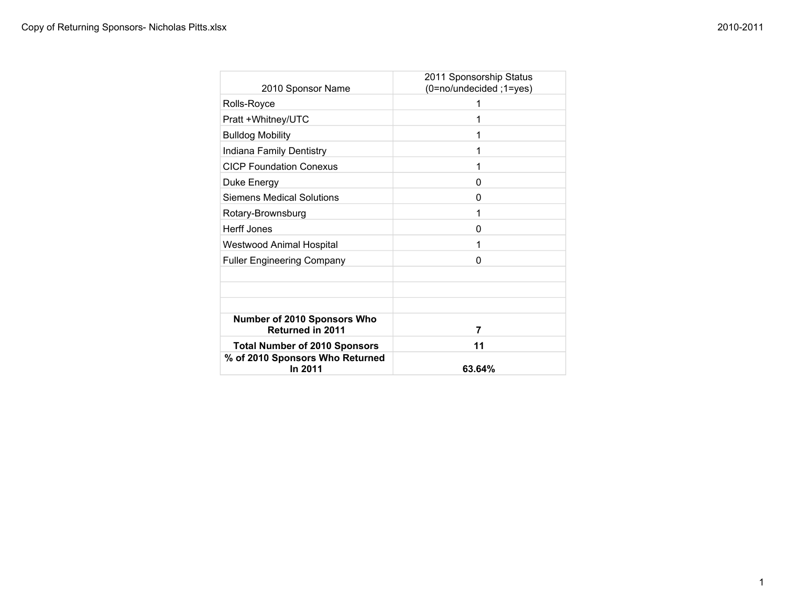| 2010 Sponsor Name                               | 2011 Sponsorship Status<br>(0=no/undecided ;1=yes) |
|-------------------------------------------------|----------------------------------------------------|
| Rolls-Royce                                     |                                                    |
| Pratt +Whitney/UTC                              |                                                    |
| <b>Bulldog Mobility</b>                         |                                                    |
| Indiana Family Dentistry                        |                                                    |
| <b>CICP Foundation Conexus</b>                  |                                                    |
| Duke Energy                                     | O                                                  |
| <b>Siemens Medical Solutions</b>                | O                                                  |
| Rotary-Brownsburg                               |                                                    |
| <b>Herff Jones</b>                              | U                                                  |
| <b>Westwood Animal Hospital</b>                 |                                                    |
| <b>Fuller Engineering Company</b>               | O                                                  |
|                                                 |                                                    |
|                                                 |                                                    |
|                                                 |                                                    |
| Number of 2010 Sponsors Who<br>Returned in 2011 | 7                                                  |
| <b>Total Number of 2010 Sponsors</b>            | 11                                                 |
| % of 2010 Sponsors Who Returned<br>In 2011      | 63.64%                                             |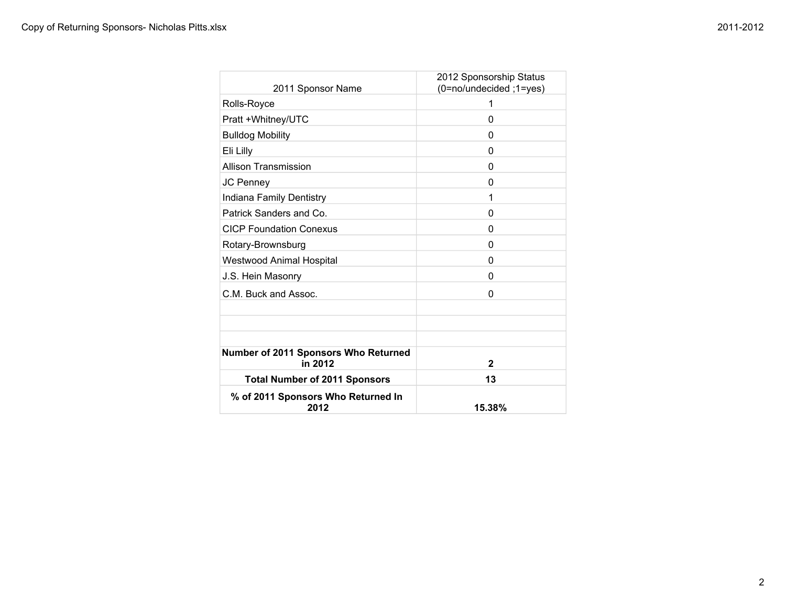| 2011 Sponsor Name                               | 2012 Sponsorship Status<br>(0=no/undecided ;1=yes) |
|-------------------------------------------------|----------------------------------------------------|
| Rolls-Royce                                     | 1                                                  |
| Pratt +Whitney/UTC                              | 0                                                  |
| <b>Bulldog Mobility</b>                         | 0                                                  |
| Eli Lilly                                       | 0                                                  |
| <b>Allison Transmission</b>                     | 0                                                  |
| JC Penney                                       | $\Omega$                                           |
| Indiana Family Dentistry                        | 1                                                  |
| Patrick Sanders and Co.                         | 0                                                  |
| <b>CICP Foundation Conexus</b>                  | 0                                                  |
| Rotary-Brownsburg                               | 0                                                  |
| <b>Westwood Animal Hospital</b>                 | $\Omega$                                           |
| J.S. Hein Masonry                               | $\Omega$                                           |
| C.M. Buck and Assoc.                            | 0                                                  |
|                                                 |                                                    |
|                                                 |                                                    |
|                                                 |                                                    |
| Number of 2011 Sponsors Who Returned<br>in 2012 | $\mathbf{2}$                                       |
| <b>Total Number of 2011 Sponsors</b>            | 13                                                 |
| % of 2011 Sponsors Who Returned In<br>2012      | 15.38%                                             |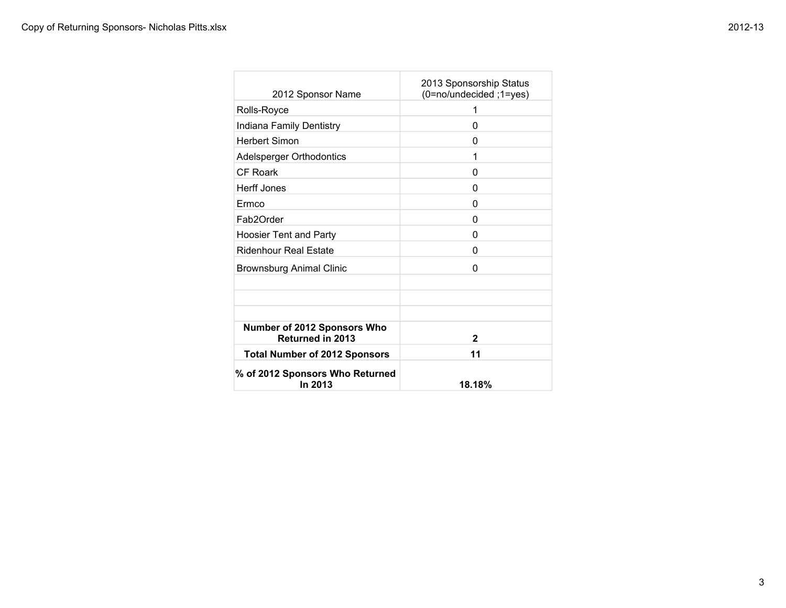| 2012 Sponsor Name                                      | 2013 Sponsorship Status<br>(0=no/undecided; 1=yes) |
|--------------------------------------------------------|----------------------------------------------------|
| Rolls-Royce                                            | 1                                                  |
| Indiana Family Dentistry                               | 0                                                  |
| <b>Herbert Simon</b>                                   | O                                                  |
| Adelsperger Orthodontics                               | 1                                                  |
| CF Roark                                               | 0                                                  |
| <b>Herff Jones</b>                                     | O                                                  |
| Ermco                                                  | O                                                  |
| Fab2Order                                              | O                                                  |
| <b>Hoosier Tent and Party</b>                          | 0                                                  |
| Ridenhour Real Estate                                  | 0                                                  |
| <b>Brownsburg Animal Clinic</b>                        | 0                                                  |
|                                                        |                                                    |
|                                                        |                                                    |
|                                                        |                                                    |
| Number of 2012 Sponsors Who<br><b>Returned in 2013</b> | $\mathbf{2}$                                       |
| <b>Total Number of 2012 Sponsors</b>                   | 11                                                 |
| % of 2012 Sponsors Who Returned<br>In 2013             | 18.18%                                             |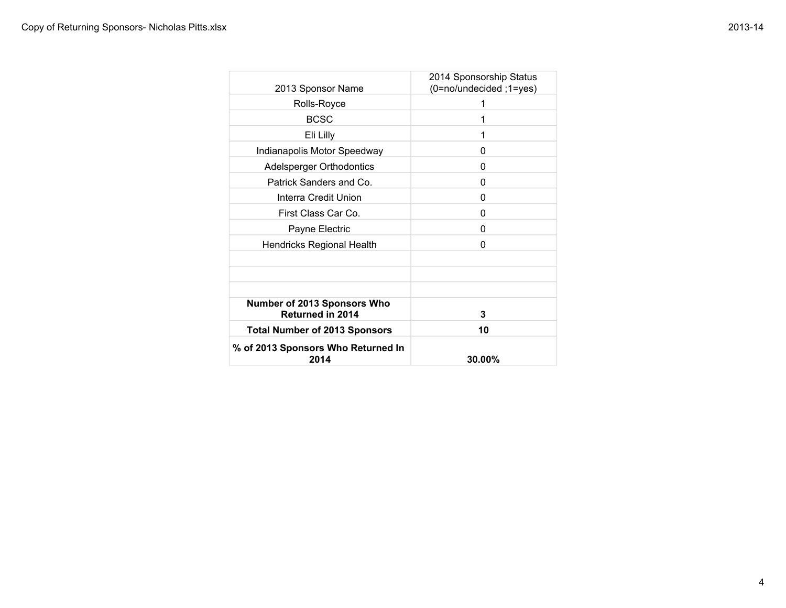| 2013 Sponsor Name                                             | 2014 Sponsorship Status<br>(0=no/undecided ;1=yes) |
|---------------------------------------------------------------|----------------------------------------------------|
| Rolls-Royce                                                   | 1                                                  |
| <b>BCSC</b>                                                   | 1                                                  |
| Eli Lilly                                                     | 1                                                  |
| Indianapolis Motor Speedway                                   | 0                                                  |
| Adelsperger Orthodontics                                      | 0                                                  |
| Patrick Sanders and Co.                                       | 0                                                  |
| Interra Credit Union                                          | 0                                                  |
| First Class Car Co.                                           | 0                                                  |
| Payne Electric                                                | 0                                                  |
| <b>Hendricks Regional Health</b>                              | 0                                                  |
|                                                               |                                                    |
|                                                               |                                                    |
|                                                               |                                                    |
| <b>Number of 2013 Sponsors Who</b><br><b>Returned in 2014</b> | 3                                                  |
| <b>Total Number of 2013 Sponsors</b>                          | 10                                                 |
| % of 2013 Sponsors Who Returned In<br>2014                    | 30.00%                                             |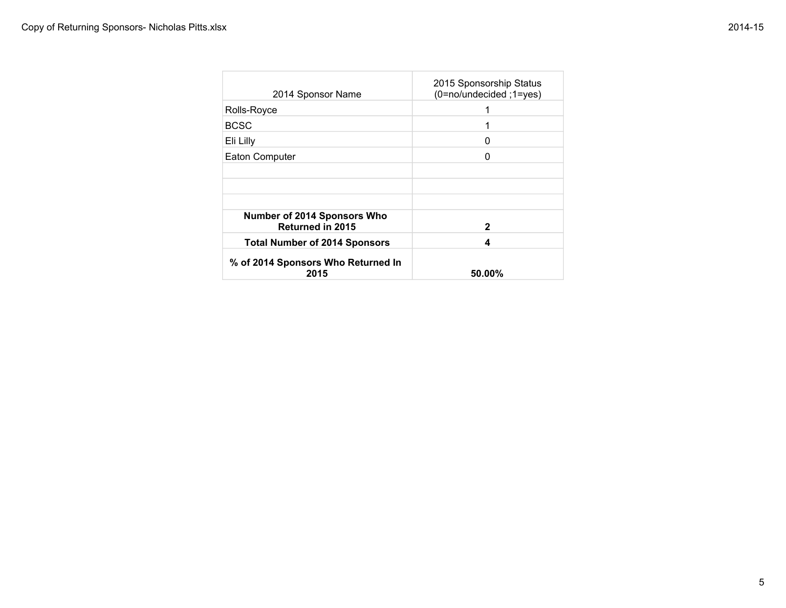| 2014 Sponsor Name                                      | 2015 Sponsorship Status<br>(0=no/undecided; 1=yes) |
|--------------------------------------------------------|----------------------------------------------------|
| Rolls-Royce                                            | 1                                                  |
| <b>BCSC</b>                                            |                                                    |
| Eli Lilly                                              | 0                                                  |
| <b>Eaton Computer</b>                                  | ი                                                  |
|                                                        |                                                    |
|                                                        |                                                    |
|                                                        |                                                    |
| Number of 2014 Sponsors Who<br><b>Returned in 2015</b> | 2                                                  |
| <b>Total Number of 2014 Sponsors</b>                   | 4                                                  |
| % of 2014 Sponsors Who Returned In<br>2015             | $50.00\%$                                          |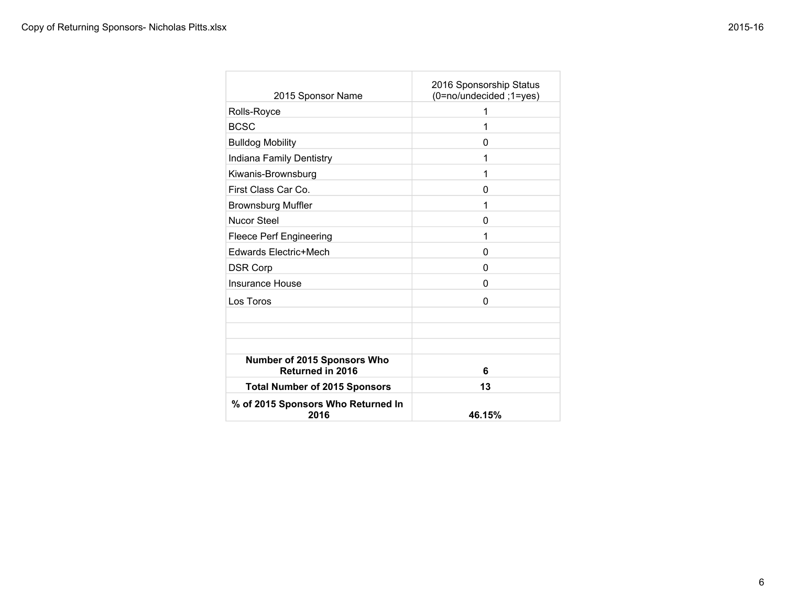| 2015 Sponsor Name                                      | 2016 Sponsorship Status<br>(0=no/undecided; 1=yes) |
|--------------------------------------------------------|----------------------------------------------------|
| Rolls-Royce                                            | 1                                                  |
| <b>BCSC</b>                                            | 1                                                  |
| <b>Bulldog Mobility</b>                                | 0                                                  |
| Indiana Family Dentistry                               | 1                                                  |
| Kiwanis-Brownsburg                                     | 1                                                  |
| First Class Car Co.                                    | 0                                                  |
| <b>Brownsburg Muffler</b>                              | 1                                                  |
| Nucor Steel                                            | 0                                                  |
| <b>Fleece Perf Engineering</b>                         | 1                                                  |
| Edwards Electric+Mech                                  | 0                                                  |
| <b>DSR Corp</b>                                        | 0                                                  |
| Insurance House                                        | 0                                                  |
| Los Toros                                              | 0                                                  |
|                                                        |                                                    |
|                                                        |                                                    |
|                                                        |                                                    |
| Number of 2015 Sponsors Who<br><b>Returned in 2016</b> | 6                                                  |
| <b>Total Number of 2015 Sponsors</b>                   | 13                                                 |
| % of 2015 Sponsors Who Returned In<br>2016             | 46.15%                                             |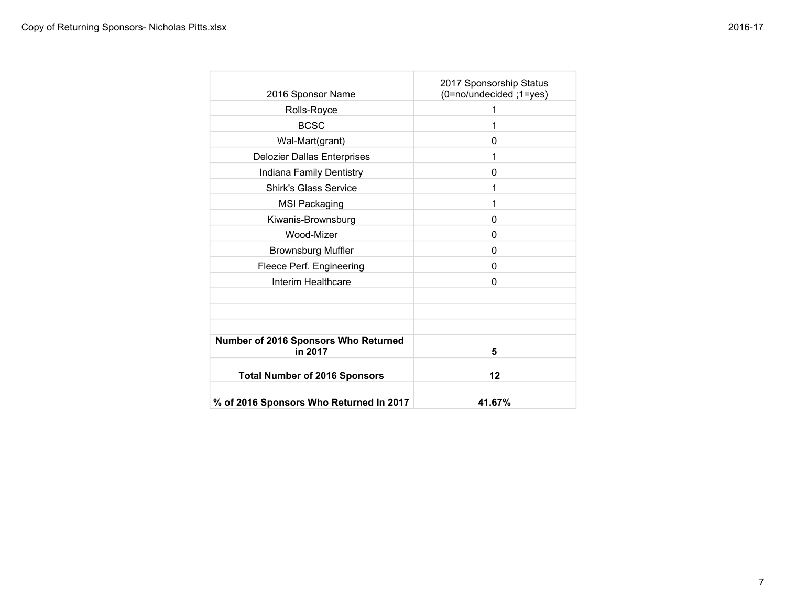| 2016 Sponsor Name                               | 2017 Sponsorship Status<br>(0=no/undecided ;1=yes) |
|-------------------------------------------------|----------------------------------------------------|
| Rolls-Royce                                     | 1                                                  |
| <b>BCSC</b>                                     | 1                                                  |
| Wal-Mart(grant)                                 | 0                                                  |
| <b>Delozier Dallas Enterprises</b>              | 1                                                  |
| Indiana Family Dentistry                        | 0                                                  |
| <b>Shirk's Glass Service</b>                    | 1                                                  |
| <b>MSI Packaging</b>                            | 1                                                  |
| Kiwanis-Brownsburg                              | 0                                                  |
| Wood-Mizer                                      | 0                                                  |
| <b>Brownsburg Muffler</b>                       | 0                                                  |
| Fleece Perf. Engineering                        | 0                                                  |
| Interim Healthcare                              | 0                                                  |
|                                                 |                                                    |
|                                                 |                                                    |
|                                                 |                                                    |
| Number of 2016 Sponsors Who Returned<br>in 2017 | 5                                                  |
| <b>Total Number of 2016 Sponsors</b>            | 12                                                 |
| % of 2016 Sponsors Who Returned In 2017         | 41.67%                                             |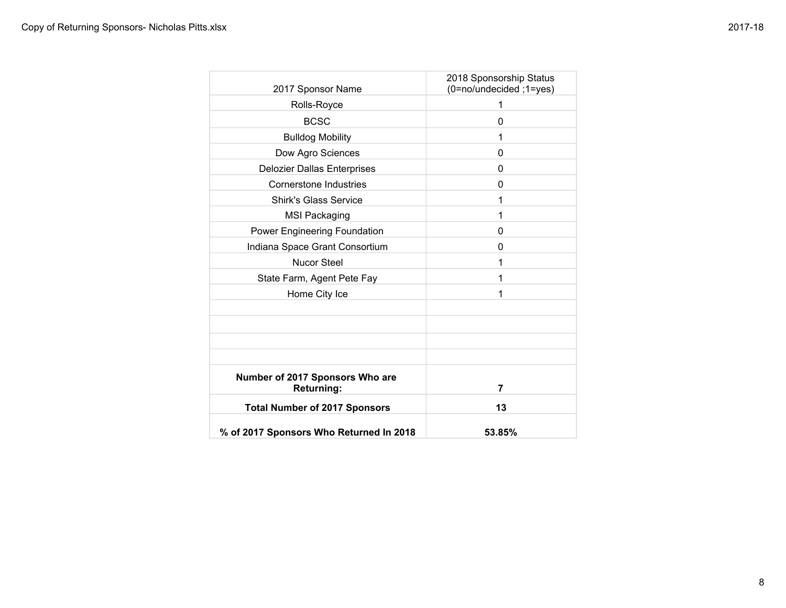| 2017 Sponsor Name                                    | 2018 Sponsorship Status<br>(0=no/undecided ;1=yes) |
|------------------------------------------------------|----------------------------------------------------|
| Rolls-Royce                                          | 1                                                  |
| <b>BCSC</b>                                          | 0                                                  |
| <b>Bulldog Mobility</b>                              | 1                                                  |
| Dow Agro Sciences                                    | 0                                                  |
| <b>Delozier Dallas Enterprises</b>                   | 0                                                  |
| Cornerstone Industries                               | 0                                                  |
| <b>Shirk's Glass Service</b>                         | 1                                                  |
| <b>MSI Packaging</b>                                 | 1                                                  |
| Power Engineering Foundation                         | 0                                                  |
| Indiana Space Grant Consortium                       | 0                                                  |
| <b>Nucor Steel</b>                                   | 1                                                  |
| State Farm, Agent Pete Fay                           | 1                                                  |
| Home City Ice                                        | 1                                                  |
|                                                      |                                                    |
|                                                      |                                                    |
|                                                      |                                                    |
| Number of 2017 Sponsors Who are<br><b>Returning:</b> | 7                                                  |
| <b>Total Number of 2017 Sponsors</b>                 | 13                                                 |
| % of 2017 Sponsors Who Returned In 2018              | 53.85%                                             |